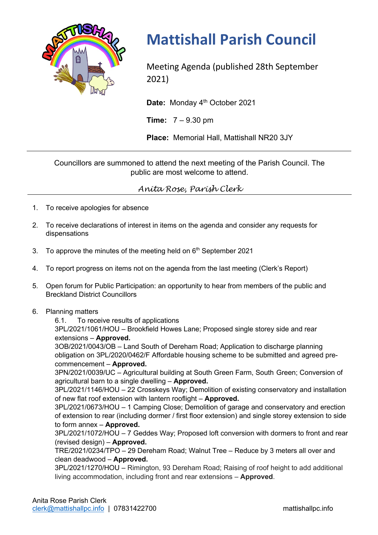

## **Mattishall Parish Council**

Meeting Agenda (published 28th September 2021)

Date: Monday 4<sup>th</sup> October 2021

**Time:** 7 – 9.30 pm

**Place:** Memorial Hall, Mattishall NR20 3JY

Councillors are summoned to attend the next meeting of the Parish Council. The public are most welcome to attend.

*Anita Rose, Parish Clerk*

- 1. To receive apologies for absence
- 2. To receive declarations of interest in items on the agenda and consider any requests for dispensations
- 3. To approve the minutes of the meeting held on  $6<sup>th</sup>$  September 2021
- 4. To report progress on items not on the agenda from the last meeting (Clerk's Report)
- 5. Open forum for Public Participation: an opportunity to hear from members of the public and Breckland District Councillors
- 6. Planning matters

6.1. To receive results of applications

3PL/2021/1061/HOU – Brookfield Howes Lane; Proposed single storey side and rear extensions – **Approved.**

3OB/2021/0043/OB – Land South of Dereham Road; Application to discharge planning obligation on 3PL/2020/0462/F Affordable housing scheme to be submitted and agreed precommencement – **Approved.**

3PN/2021/0039/UC – Agricultural building at South Green Farm, South Green; Conversion of agricultural barn to a single dwelling – **Approved.**

3PL/2021/1146/HOU – 22 Crosskeys Way; Demolition of existing conservatory and installation of new flat roof extension with lantern rooflight – **Approved.**

3PL/2021/0673/HOU – 1 Camping Close; Demolition of garage and conservatory and erection of extension to rear (including dormer / first floor extension) and single storey extension to side to form annex – **Approved.**

3PL/2021/1072/HOU – 7 Geddes Way; Proposed loft conversion with dormers to front and rear (revised design) – **Approved.**

TRE/2021/0234/TPO – 29 Dereham Road; Walnut Tree – Reduce by 3 meters all over and clean deadwood – **Approved.**

3PL/2021/1270/HOU – Rimington, 93 Dereham Road; Raising of roof height to add additional living accommodation, including front and rear extensions – **Approved**.